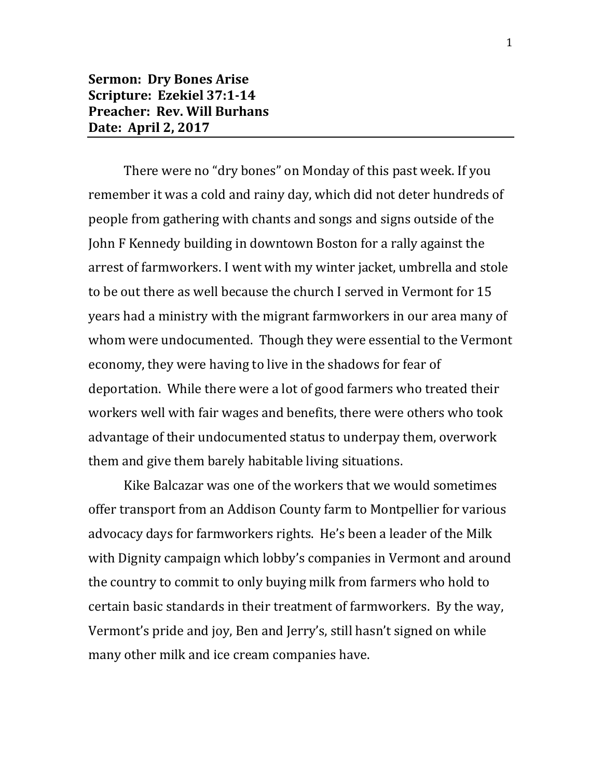## **Sermon: Dry Bones Arise Scripture: Ezekiel 37:1-14 Preacher: Rev. Will Burhans Date: April 2, 2017**

There were no "dry bones" on Monday of this past week. If you remember it was a cold and rainy day, which did not deter hundreds of people from gathering with chants and songs and signs outside of the John F Kennedy building in downtown Boston for a rally against the arrest of farmworkers. I went with my winter jacket, umbrella and stole to be out there as well because the church I served in Vermont for 15 years had a ministry with the migrant farmworkers in our area many of whom were undocumented. Though they were essential to the Vermont economy, they were having to live in the shadows for fear of deportation. While there were a lot of good farmers who treated their workers well with fair wages and benefits, there were others who took advantage of their undocumented status to underpay them, overwork them and give them barely habitable living situations.

Kike Balcazar was one of the workers that we would sometimes offer transport from an Addison County farm to Montpellier for various advocacy days for farmworkers rights. He's been a leader of the Milk with Dignity campaign which lobby's companies in Vermont and around the country to commit to only buying milk from farmers who hold to certain basic standards in their treatment of farmworkers. By the way, Vermont's pride and joy, Ben and Jerry's, still hasn't signed on while many other milk and ice cream companies have.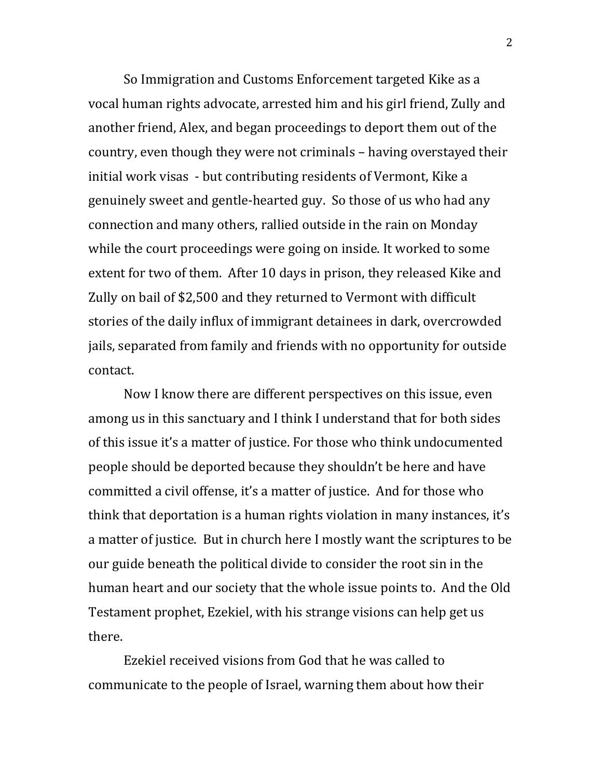So Immigration and Customs Enforcement targeted Kike as a vocal human rights advocate, arrested him and his girl friend, Zully and another friend, Alex, and began proceedings to deport them out of the country, even though they were not criminals – having overstayed their initial work visas - but contributing residents of Vermont, Kike a genuinely sweet and gentle-hearted guy. So those of us who had any connection and many others, rallied outside in the rain on Monday while the court proceedings were going on inside. It worked to some extent for two of them. After 10 days in prison, they released Kike and Zully on bail of \$2,500 and they returned to Vermont with difficult stories of the daily influx of immigrant detainees in dark, overcrowded jails, separated from family and friends with no opportunity for outside contact.

Now I know there are different perspectives on this issue, even among us in this sanctuary and I think I understand that for both sides of this issue it's a matter of justice. For those who think undocumented people should be deported because they shouldn't be here and have committed a civil offense, it's a matter of justice. And for those who think that deportation is a human rights violation in many instances, it's a matter of justice. But in church here I mostly want the scriptures to be our guide beneath the political divide to consider the root sin in the human heart and our society that the whole issue points to. And the Old Testament prophet, Ezekiel, with his strange visions can help get us there.

Ezekiel received visions from God that he was called to communicate to the people of Israel, warning them about how their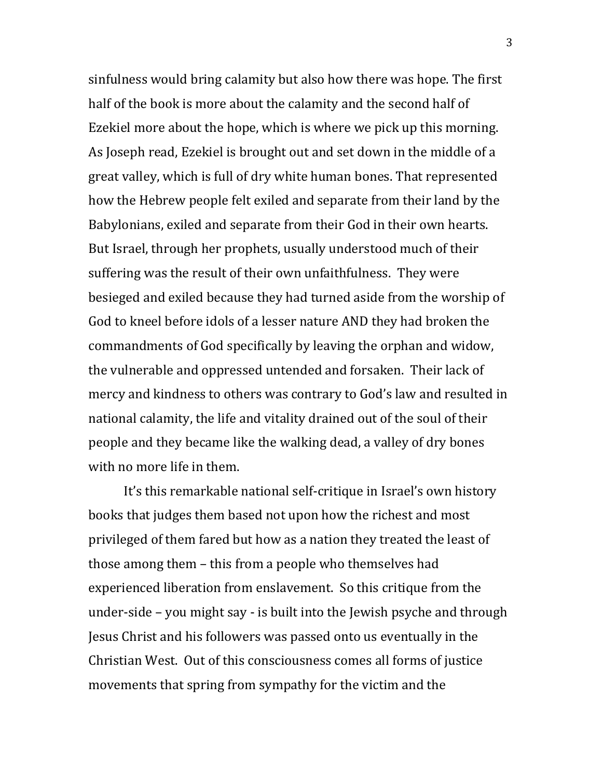sinfulness would bring calamity but also how there was hope. The first half of the book is more about the calamity and the second half of Ezekiel more about the hope, which is where we pick up this morning. As Joseph read, Ezekiel is brought out and set down in the middle of a great valley, which is full of dry white human bones. That represented how the Hebrew people felt exiled and separate from their land by the Babylonians, exiled and separate from their God in their own hearts. But Israel, through her prophets, usually understood much of their suffering was the result of their own unfaithfulness. They were besieged and exiled because they had turned aside from the worship of God to kneel before idols of a lesser nature AND they had broken the commandments of God specifically by leaving the orphan and widow, the vulnerable and oppressed untended and forsaken. Their lack of mercy and kindness to others was contrary to God's law and resulted in national calamity, the life and vitality drained out of the soul of their people and they became like the walking dead, a valley of dry bones with no more life in them.

It's this remarkable national self-critique in Israel's own history books that judges them based not upon how the richest and most privileged of them fared but how as a nation they treated the least of those among them – this from a people who themselves had experienced liberation from enslavement. So this critique from the under-side – you might say - is built into the Jewish psyche and through Jesus Christ and his followers was passed onto us eventually in the Christian West. Out of this consciousness comes all forms of justice movements that spring from sympathy for the victim and the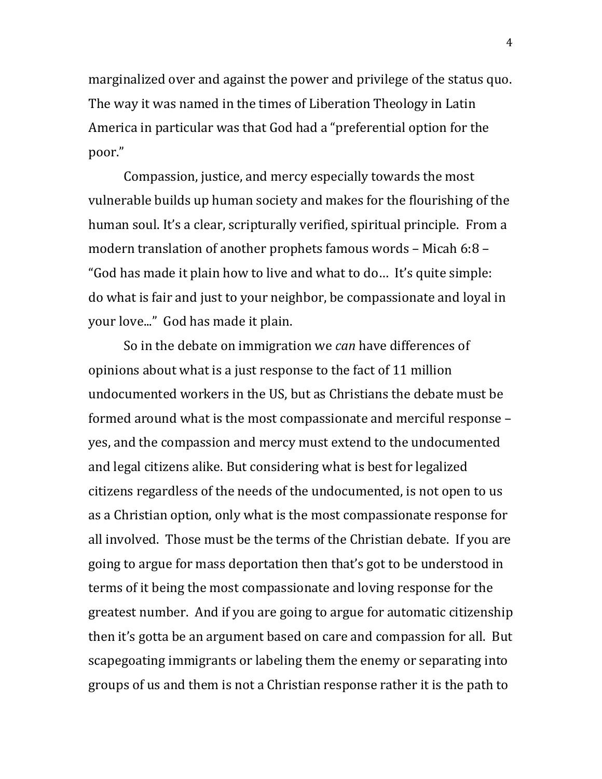marginalized over and against the power and privilege of the status quo. The way it was named in the times of Liberation Theology in Latin America in particular was that God had a "preferential option for the poor."

Compassion, justice, and mercy especially towards the most vulnerable builds up human society and makes for the flourishing of the human soul. It's a clear, scripturally verified, spiritual principle. From a modern translation of another prophets famous words – Micah 6:8 – "God has made it plain how to live and what to do… It's quite simple: do what is fair and just to your neighbor, be compassionate and loyal in your love..." God has made it plain.

So in the debate on immigration we *can* have differences of opinions about what is a just response to the fact of 11 million undocumented workers in the US, but as Christians the debate must be formed around what is the most compassionate and merciful response – yes, and the compassion and mercy must extend to the undocumented and legal citizens alike. But considering what is best for legalized citizens regardless of the needs of the undocumented, is not open to us as a Christian option, only what is the most compassionate response for all involved. Those must be the terms of the Christian debate. If you are going to argue for mass deportation then that's got to be understood in terms of it being the most compassionate and loving response for the greatest number. And if you are going to argue for automatic citizenship then it's gotta be an argument based on care and compassion for all. But scapegoating immigrants or labeling them the enemy or separating into groups of us and them is not a Christian response rather it is the path to